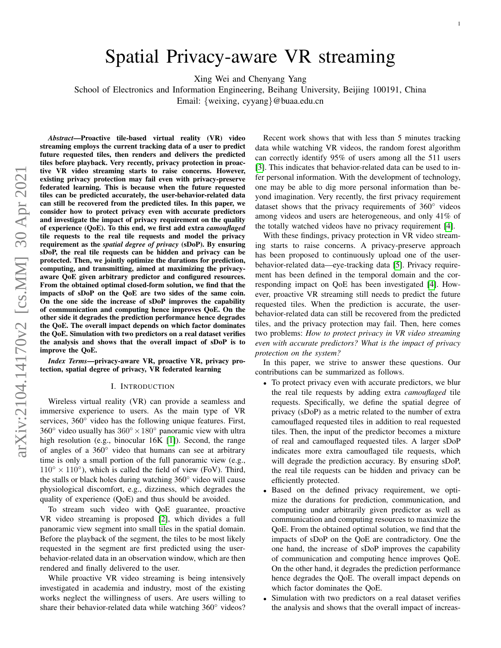# Spatial Privacy-aware VR streaming

Xing Wei and Chenyang Yang

School of Electronics and Information Engineering, Beihang University, Beijing 100191, China

Email: {weixing, cyyang}@buaa.edu.cn

*Abstract*—Proactive tile-based virtual reality (VR) video streaming employs the current tracking data of a user to predict future requested tiles, then renders and delivers the predicted tiles before playback. Very recently, privacy protection in proactive VR video streaming starts to raise concerns. However, existing privacy protection may fail even with privacy-preserve federated learning. This is because when the future requested tiles can be predicted accurately, the user-behavior-related data can still be recovered from the predicted tiles. In this paper, we consider how to protect privacy even with accurate predictors and investigate the impact of privacy requirement on the quality of experience (QoE). To this end, we first add extra *camouflaged* tile requests to the real tile requests and model the privacy requirement as the *spatial degree of privacy* (sDoP). By ensuring sDoP, the real tile requests can be hidden and privacy can be protected. Then, we jointly optimize the durations for prediction, computing, and transmitting, aimed at maximizing the privacyaware QoE given arbitrary predictor and configured resources. From the obtained optimal closed-form solution, we find that the impacts of sDoP on the QoE are two sides of the same coin. On the one side the increase of sDoP improves the capability of communication and computing hence improves QoE. On the other side it degrades the prediction performance hence degrades the QoE. The overall impact depends on which factor dominates the QoE. Simulation with two predictors on a real dataset verifies the analysis and shows that the overall impact of sDoP is to improve the QoE.

*Index Terms*—privacy-aware VR, proactive VR, privacy protection, spatial degree of privacy, VR federated learning

#### I. INTRODUCTION

Wireless virtual reality (VR) can provide a seamless and immersive experience to users. As the main type of VR services, 360<sup>°</sup> video has the following unique features. First, 360 $\degree$  video usually has 360 $\degree \times 180\degree$  panoramic view with ultra high resolution (e.g., binocular 16K [\[1\]](#page-5-0)). Second, the range of angles of a 360◦ video that humans can see at arbitrary time is only a small portion of the full panoramic view (e.g.,  $110° \times 110°$ ), which is called the field of view (FoV). Third, the stalls or black holes during watching 360◦ video will cause physiological discomfort, e.g., dizziness, which degrades the quality of experience (QoE) and thus should be avoided.

To stream such video with QoE guarantee, proactive VR video streaming is proposed [\[2\]](#page-5-1), which divides a full panoramic view segment into small tiles in the spatial domain. Before the playback of the segment, the tiles to be most likely requested in the segment are first predicted using the userbehavior-related data in an observation window, which are then rendered and finally delivered to the user.

While proactive VR video streaming is being intensively investigated in academia and industry, most of the existing works neglect the willingness of users. Are users willing to share their behavior-related data while watching 360° videos?

Recent work shows that with less than 5 minutes tracking data while watching VR videos, the random forest algorithm can correctly identify 95% of users among all the 511 users [\[3\]](#page-5-2). This indicates that behavior-related data can be used to infer personal information. With the development of technology, one may be able to dig more personal information than beyond imagination. Very recently, the first privacy requirement dataset shows that the privacy requirements of 360◦ videos among videos and users are heterogeneous, and only 41% of the totally watched videos have no privacy requirement [\[4\]](#page-5-3).

With these findings, privacy protection in VR video streaming starts to raise concerns. A privacy-preserve approach has been proposed to continuously upload one of the userbehavior-related data—eye-tracking data [\[5\]](#page-5-4). Privacy requirement has been defined in the temporal domain and the corresponding impact on QoE has been investigated [\[4\]](#page-5-3). However, proactive VR streaming still needs to predict the future requested tiles. When the prediction is accurate, the userbehavior-related data can still be recovered from the predicted tiles, and the privacy protection may fail. Then, here comes two problems: *How to protect privacy in VR video streaming even with accurate predictors? What is the impact of privacy protection on the system?*

In this paper, we strive to answer these questions. Our contributions can be summarized as follows.

- To protect privacy even with accurate predictors, we blur the real tile requests by adding extra *camouflaged* tile requests. Specifically, we define the spatial degree of privacy (sDoP) as a metric related to the number of extra camouflaged requested tiles in addition to real requested tiles. Then, the input of the predictor becomes a mixture of real and camouflaged requested tiles. A larger sDoP indicates more extra camouflaged tile requests, which will degrade the prediction accuracy. By ensuring sDoP, the real tile requests can be hidden and privacy can be efficiently protected.
- Based on the defined privacy requirement, we optimize the durations for prediction, communication, and computing under arbitrarily given predictor as well as communication and computing resources to maximize the QoE. From the obtained optimal solution, we find that the impacts of sDoP on the QoE are contradictory. One the one hand, the increase of sDoP improves the capability of communication and computing hence improves QoE. On the other hand, it degrades the prediction performance hence degrades the QoE. The overall impact depends on which factor dominates the QoE.
- Simulation with two predictors on a real dataset verifies the analysis and shows that the overall impact of increas-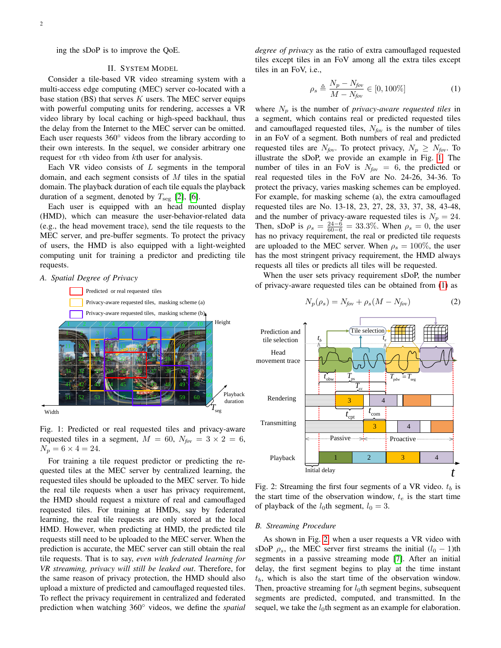ing the sDoP is to improve the QoE.

#### II. SYSTEM MODEL

Consider a tile-based VR video streaming system with a multi-access edge computing (MEC) server co-located with a base station (BS) that serves  $K$  users. The MEC server equips with powerful computing units for rendering, accesses a VR video library by local caching or high-speed backhaul, thus the delay from the Internet to the MEC server can be omitted. Each user requests 360◦ videos from the library according to their own interests. In the sequel, we consider arbitrary one request for vth video from kth user for analysis.

Each VR video consists of  $L$  segments in the temporal domain, and each segment consists of  $M$  tiles in the spatial domain. The playback duration of each tile equals the playback duration of a segment, denoted by  $T_{\text{seg}}$  [\[2\]](#page-5-1), [\[6\]](#page-5-5).

Each user is equipped with an head mounted display (HMD), which can measure the user-behavior-related data (e.g., the head movement trace), send the tile requests to the MEC server, and pre-buffer segments. To protect the privacy of users, the HMD is also equipped with a light-weighted computing unit for training a predictor and predicting tile requests.

#### <span id="page-1-0"></span>*A. Spatial Degree of Privacy*





Fig. 1: Predicted or real requested tiles and privacy-aware requested tiles in a segment,  $M = 60$ ,  $N_{fov} = 3 \times 2 = 6$ ,  $N_p = 6 \times 4 = 24.$ 

For training a tile request predictor or predicting the requested tiles at the MEC server by centralized learning, the requested tiles should be uploaded to the MEC server. To hide the real tile requests when a user has privacy requirement, the HMD should request a mixture of real and camouflaged requested tiles. For training at HMDs, say by federated learning, the real tile requests are only stored at the local HMD. However, when predicting at HMD, the predicted tile requests still need to be uploaded to the MEC server. When the prediction is accurate, the MEC server can still obtain the real tile requests. That is to say, *even with federated learning for VR streaming, privacy will still be leaked out*. Therefore, for the same reason of privacy protection, the HMD should also upload a mixture of predicted and camouflaged requested tiles. To reflect the privacy requirement in centralized and federated prediction when watching 360◦ videos, we define the *spatial* *degree of privacy* as the ratio of extra camouflaged requested tiles except tiles in an FoV among all the extra tiles except tiles in an FoV, i.e.,

<span id="page-1-1"></span>
$$
\rho_s \triangleq \frac{N_p - N_{fov}}{M - N_{fov}} \in [0, 100\%]
$$
\n(1)

where  $N_p$  is the number of *privacy-aware requested tiles* in a segment, which contains real or predicted requested tiles and camouflaged requested tiles, N*fov* is the number of tiles in an FoV of a segment. Both numbers of real and predicted requested tiles are  $N_{fov}$ . To protect privacy,  $N_p \geq N_{fov}$ . To illustrate the sDoP, we provide an example in Fig. [1.](#page-1-0) The number of tiles in an FoV is  $N_{fov} = 6$ , the predicted or real requested tiles in the FoV are No. 24-26, 34-36. To protect the privacy, varies masking schemes can be employed. For example, for masking scheme (a), the extra camouflaged requested tiles are No. 13-18, 23, 27, 28, 33, 37, 38, 43-48, and the number of privacy-aware requested tiles is  $N_p = 24$ . Then, sDoP is  $\rho_s = \frac{24-6}{60-6} = 33.3\%$ . When  $\rho_s = 0$ , the user has no privacy requirement, the real or predicted tile requests are uploaded to the MEC server. When  $\rho_s = 100\%$ , the user has the most stringent privacy requirement, the HMD always requests all tiles or predicts all tiles will be requested.

<span id="page-1-2"></span>When the user sets privacy requirement sDoP, the number of privacy-aware requested tiles can be obtained from [\(1\)](#page-1-1) as

<span id="page-1-3"></span>
$$
N_p(\rho_s) = N_{fov} + \rho_s (M - N_{fov})
$$
 (2)



Fig. 2: Streaming the first four segments of a VR video.  $t_b$  is the start time of the observation window,  $t_e$  is the start time of playback of the  $l_0$ th segment,  $l_0 = 3$ .

## *B. Streaming Procedure*

As shown in Fig. [2,](#page-1-2) when a user requests a VR video with sDoP  $\rho_s$ , the MEC server first streams the initial  $(l_0 - 1)$ th segments in a passive streaming mode [\[7\]](#page-6-0). After an initial delay, the first segment begins to play at the time instant  $t<sub>b</sub>$ , which is also the start time of the observation window. Then, proactive streaming for  $l_0$ th segment begins, subsequent segments are predicted, computed, and transmitted. In the sequel, we take the  $l_0$ th segment as an example for elaboration.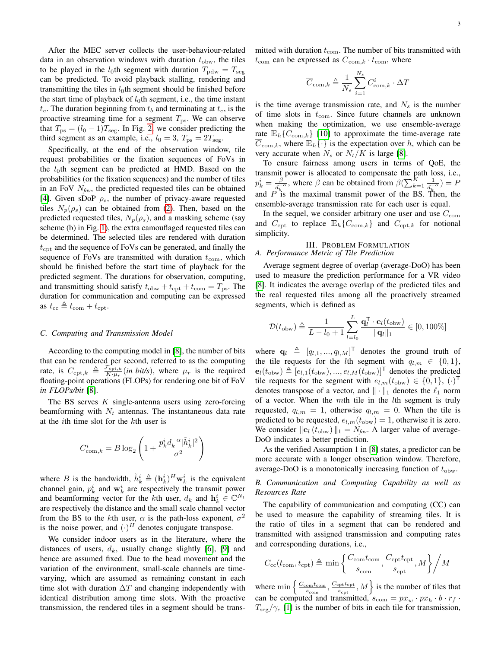After the MEC server collects the user-behaviour-related data in an observation windows with duration  $t_{\text{obw}}$ , the tiles to be played in the  $l_0$ th segment with duration  $T_{\text{pdw}} = T_{\text{seg}}$ can be predicted. To avoid playback stalling, rendering and transmitting the tiles in  $l_0$ th segment should be finished before the start time of playback of  $l_0$ th segment, i.e., the time instant  $t_e$ . The duration beginning from  $t_b$  and terminating at  $t_e$ , is the proactive streaming time for a segment  $T_{\text{ps}}$ . We can observe that  $T_{\text{ps}} = (l_0 - 1)T_{\text{seg}}$ . In Fig. [2,](#page-1-2) we consider predicting the third segment as an example, i.e.,  $l_0 = 3$ ,  $T_{ps} = 2T_{seg}$ .

Specifically, at the end of the observation window, tile request probabilities or the fixation sequences of FoVs in the  $l_0$ th segment can be predicted at HMD. Based on the probabilities (or the fixation sequences) and the number of tiles in an FoV N*fov*, the predicted requested tiles can be obtained [\[4\]](#page-5-3). Given sDoP  $\rho_s$ , the number of privacy-aware requested tiles  $N_p(\rho_s)$  can be obtained from [\(2\)](#page-1-3). Then, based on the predicted requested tiles,  $N_p(\rho_s)$ , and a masking scheme (say scheme (b) in Fig. [1\)](#page-1-0), the extra camouflaged requested tiles can be determined. The selected tiles are rendered with duration  $t_{\rm cpt}$  and the sequence of FoVs can be generated, and finally the sequence of FoVs are transmitted with duration  $t_{\text{com}}$ , which should be finished before the start time of playback for the predicted segment. The durations for observation, computing, and transmitting should satisfy  $t_{\text{obw}} + t_{\text{cpt}} + t_{\text{com}} = T_{\text{ps}}$ . The duration for communication and computing can be expressed as  $t_{\text{cc}} \triangleq t_{\text{com}} + t_{\text{cpt}}$ .

### *C. Computing and Transmission Model*

According to the computing model in [\[8\]](#page-6-1), the number of bits that can be rendered per second, referred to as the computing rate, is  $C_{\text{cpt},k} \triangleq \frac{\mathcal{F}_{\text{cpt},k}^{\text{rt}}}{K \cdot \mu_{\text{rf}}}$  $\frac{\gamma_{\text{cpt},k}}{K\cdot\mu_r}$  (*in bit/s*), where  $\mu_r$  is the required floating-point operations (FLOPs) for rendering one bit of FoV *in FLOPs/bit* [\[8\]](#page-6-1).

The BS serves  $K$  single-antenna users using zero-forcing beamforming with  $N_t$  antennas. The instantaneous data rate at the ith time slot for the kth user is

$$
C_{\text{com},k}^i = B \log_2 \left( 1 + \frac{p_k^i d_k^{-\alpha} |\tilde{h}_k^i|^2}{\sigma^2} \right)
$$

where B is the bandwidth,  $\tilde{h}_k^i \triangleq (\mathbf{h}_k^i)^H \mathbf{w}_k^i$  is the equivalent channel gain,  $p_k^i$  and  $\mathbf{w}_k^i$  are respectively the transmit power and beamforming vector for the kth user,  $d_k$  and  $\mathbf{h}_k^i \in \mathbb{C}^{N_t}$ are respectively the distance and the small scale channel vector from the BS to the kth user,  $\alpha$  is the path-loss exponent,  $\sigma^2$ is the noise power, and  $(\cdot)^H$  denotes conjugate transpose.

We consider indoor users as in the literature, where the distances of users,  $d_k$ , usually change slightly [\[6\]](#page-5-5), [\[9\]](#page-6-2) and hence are assumed fixed. Due to the head movement and the variation of the environment, small-scale channels are timevarying, which are assumed as remaining constant in each time slot with duration  $\Delta T$  and changing independently with identical distribution among time slots. With the proactive transmission, the rendered tiles in a segment should be transmitted with duration  $t_{\text{com}}$ . The number of bits transmitted with  $t_{\text{com}}$  can be expressed as  $\overline{C}_{\text{com},k} \cdot t_{\text{com}}$ , where

$$
\overline{C}_{\mathrm{com},k} \triangleq \frac{1}{N_s}\sum_{i=1}^{N_s} C_{\mathrm{com},k}^i \cdot \Delta T
$$

is the time average transmission rate, and  $N<sub>s</sub>$  is the number of time slots in  $t_{\text{com}}$ . Since future channels are unknown when making the optimization, we use ensemble-average rate  $\mathbb{E}_{h} \{ C_{\text{com},k} \}$  [\[10\]](#page-6-3) to approximate the time-average rate  $\overline{C}_{\text{com},k}$ , where  $\mathbb{E}_{h}\{\cdot\}$  is the expectation over h, which can be very accurate when  $N_s$  or  $N_t/K$  is large [\[8\]](#page-6-1).

To ensure fairness among users in terms of QoE, the transmit power is allocated to compensate the path loss, i.e.,  $p_k^i = \frac{\beta}{d_k}$  $\frac{\beta}{d_k - \alpha}$ , where  $\beta$  can be obtained from  $\beta(\sum_{k=1}^K \frac{1}{d_k - \alpha})$ and  $\overline{P}^{u_k}_{\text{is}}$  the maximal transmit power of the BS. Then, the  $\frac{1}{d_{k}^{-\alpha}})=F$ ensemble-average transmission rate for each user is equal.

In the sequel, we consider arbitrary one user and use  $C_{\text{com}}$ and  $C_{\text{cpt}}$  to replace  $\mathbb{E}_h\{C_{\text{com},k}\}$  and  $C_{\text{cpt},k}$  for notional simplicity.

#### III. PROBLEM FORMULATION *A. Performance Metric of Tile Prediction*

Average segment degree of overlap (average-DoO) has been used to measure the prediction performance for a VR video [\[8\]](#page-6-1). It indicates the average overlap of the predicted tiles and the real requested tiles among all the proactively streamed segments, which is defined as

$$
\mathcal{D}(t_{\text{obw}}) \triangleq \frac{1}{L - l_0 + 1} \sum_{l=l_0}^{L} \frac{\mathbf{q}_l^{\mathsf{T}} \cdot \mathbf{e}_l(t_{\text{obw}})}{\|\mathbf{q}_l\|_1} \in [0, 100\%]
$$

where  $\mathbf{q}_l \triangleq [q_{l,1}, ..., q_{l,M}]^\mathsf{T}$  denotes the ground truth of the tile requests for the *l*th segment with  $q_{l,m} \in \{0,1\}$ ,  $\mathbf{e}_l(t_{\text{obw}}) \triangleq [e_{l,1}(t_{\text{obw}}), ..., e_{l,M}(t_{\text{obw}})]^{\mathsf{T}}$  denotes the predicted tile requests for the segment with  $e_{l,m}(t_{\text{obw}}) \in \{0,1\}$ ,  $(\cdot)^{\mathsf{T}}$ denotes transpose of a vector, and  $\|\cdot\|_1$  denotes the  $\ell_1$  norm of a vector. When the  $m$ th tile in the  $l$ th segment is truly requested,  $q_{l,m} = 1$ , otherwise  $q_{l,m} = 0$ . When the tile is predicted to be requested,  $e_{l,m}(t_{\text{obw}}) = 1$ , otherwise it is zero. We consider  $\|\mathbf{e}_l (t_{\text{obw}})\|_1 = N_{fov}$ . A larger value of average-DoO indicates a better prediction.

As the verified Assumption 1 in [\[8\]](#page-6-1) states, a predictor can be more accurate with a longer observation window. Therefore, average-DoO is a monotonically increasing function of  $t_{\text{obw}}$ .

# <span id="page-2-0"></span>*B. Communication and Computing Capability as well as Resources Rate*

The capability of communication and computing (CC) can be used to measure the capability of streaming tiles. It is the ratio of tiles in a segment that can be rendered and transmitted with assigned transmission and computing rates and corresponding durations, i.e.,

$$
C_{\text{cc}}(t_{\text{com}}, t_{\text{cpt}}) \triangleq \min\left\{\frac{C_{\text{com}}t_{\text{com}}}{s_{\text{com}}}, \frac{C_{\text{cpt}}t_{\text{cpt}}}{s_{\text{cpt}}}, M\right\}\bigg/M
$$

where  $\min\left\{\frac{C_{\text{com}}t_{\text{com}}}{s_{\text{com}}}, \frac{C_{\text{cpt}}t_{\text{cpt}}}{s_{\text{cpt}}}\right\}$  $\left\{\frac{\text{opt}^t_{\text{cpt}}}{s_{\text{cpt}}}, M\right\}$  is the number of tiles that can be computed and transmitted,  $s_{\text{com}} = px_w \cdot px_h \cdot b \cdot r_f$ .  $T_{\text{seg}}/\gamma_c$  [\[1\]](#page-5-0) is the number of bits in each tile for transmission,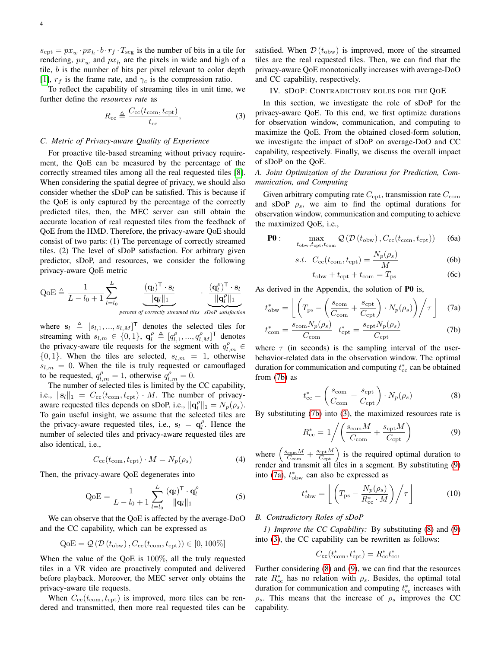$s_{\text{cpt}} = px_w \cdot px_h \cdot b \cdot r_f \cdot T_{\text{seg}}$  is the number of bits in a tile for rendering,  $px_w$  and  $px_h$  are the pixels in wide and high of a tile, b is the number of bits per pixel relevant to color depth [\[1\]](#page-5-0),  $r_f$  is the frame rate, and  $\gamma_c$  is the compression ratio.

To reflect the capability of streaming tiles in unit time, we further define the *resources rate* as

$$
R_{\rm cc} \triangleq \frac{C_{\rm cc}(t_{\rm com}, t_{\rm cpt})}{t_{\rm cc}},\tag{3}
$$

# *C. Metric of Privacy-aware Quality of Experience*

For proactive tile-based streaming without privacy requirement, the QoE can be measured by the percentage of the correctly streamed tiles among all the real requested tiles [\[8\]](#page-6-1). When considering the spatial degree of privacy, we should also consider whether the sDoP can be satisfied. This is because if the QoE is only captured by the percentage of the correctly predicted tiles, then, the MEC server can still obtain the accurate location of real requested tiles from the feedback of QoE from the HMD. Therefore, the privacy-aware QoE should consist of two parts: (1) The percentage of correctly streamed tiles. (2) The level of sDoP satisfaction. For arbitrary given predictor, sDoP, and resources, we consider the following privacy-aware QoE metric

$$
QoE \triangleq \frac{1}{L - l_0 + 1} \sum_{l = l_0}^{L} \underbrace{\frac{(\mathbf{q}_l)^{\mathsf{T}} \cdot \mathbf{s}_l}{\|\mathbf{q}_l\|_1}}_{\text{percent of correctly streamed tiles}} \cdot \underbrace{\frac{(\mathbf{q}_l^{\rho})^{\mathsf{T}} \cdot \mathbf{s}_l}{\|\mathbf{q}_l^{\rho}\|_1}}
$$

where  $\mathbf{s}_l \triangleq [s_{l,1}, ..., s_{l,M}]^\mathsf{T}$  denotes the selected tiles for streaming with  $s_{l,m} \in \{0,1\}$ ,  $\mathbf{q}_l^{\rho} \triangleq [q_{l,1}^{\rho},...,q_{l,M}^{\rho}]^{\mathsf{T}}$  denotes the privacy-aware tile requests for the segment with  $q_{l,m}^{\rho}$  ${0, 1}$ . When the tiles are selected,  $s_{l,m} = 1$ , otherwise  $s_{l,m} = 0$ . When the tile is truly requested or camouflaged to be requested,  $q_{l,m}^{\rho} = 1$ , otherwise  $q_{l,m}^{\rho} = 0$ .

The number of selected tiles is limited by the CC capability, i.e.,  $||\mathbf{s}_l||_1 = C_{\text{cc}}(t_{\text{com}}, t_{\text{cpt}}) \cdot M$ . The number of privacyaware requested tiles depends on sDoP, i.e.,  $\|\mathbf{q}_l^{\rho}\|_1 = N_p(\rho_s)$ . To gain useful insight, we assume that the selected tiles are the privacy-aware requested tiles, i.e.,  $s_l = q_l^{\rho}$ . Hence the number of selected tiles and privacy-aware requested tiles are also identical, i.e.,

$$
C_{\rm cc}(t_{\rm com}, t_{\rm cpt}) \cdot M = N_p(\rho_s) \tag{4}
$$

Then, the privacy-aware QoE degenerates into

$$
Q_0 E = \frac{1}{L - l_0 + 1} \sum_{l=l_0}^{L} \frac{(q_l)^{\mathsf{T}} \cdot q_l^{\rho}}{\|q_l\|_1}
$$
(5)

We can observe that the QoE is affected by the average-DoO and the CC capability, which can be expressed as

$$
QoE = \mathcal{Q}(\mathcal{D}(t_{\text{obw}}), C_{\text{cc}}(t_{\text{com}}, t_{\text{cpt}})) \in [0, 100\%]
$$

When the value of the QoE is 100%, all the truly requested tiles in a VR video are proactively computed and delivered before playback. Moreover, the MEC server only obtains the privacy-aware tile requests.

When  $C_{\rm cc}(t_{\rm com}, t_{\rm cpt})$  is improved, more tiles can be rendered and transmitted, then more real requested tiles can be satisfied. When  $\mathcal{D}(t_{\text{obw}})$  is improved, more of the streamed tiles are the real requested tiles. Then, we can find that the privacy-aware QoE monotonically increases with average-DoO and CC capability, respectively.

#### IV. SDOP: CONTRADICTORY ROLES FOR THE QOE

<span id="page-3-1"></span>In this section, we investigate the role of sDoP for the privacy-aware QoE. To this end, we first optimize durations for observation window, communication, and computing to maximize the QoE. From the obtained closed-form solution, we investigate the impact of sDoP on average-DoO and CC capability, respectively. Finally, we discuss the overall impact of sDoP on the QoE.

# *A. Joint Optimization of the Durations for Prediction, Communication, and Computing*

Given arbitrary computing rate  $C_{\text{cpt}}$ , transmission rate  $C_{\text{com}}$ and sDoP  $\rho_s$ , we aim to find the optimal durations for observation window, communication and computing to achieve the maximized QoE, i.e.,

$$
\mathbf{P0}: \quad \max_{t_{\text{obw}}, t_{\text{cpt}}, t_{\text{com}}} \mathcal{Q}\left(\mathcal{D}\left(t_{\text{obw}}\right), C_{\text{cc}}(t_{\text{com}}, t_{\text{cpt}})\right) \tag{6a}
$$

$$
s.t. \quad C_{\rm cc}(t_{\rm com}, t_{\rm cpt}) = \frac{N_p(\rho_s)}{M} \tag{6b}
$$

<span id="page-3-9"></span><span id="page-3-8"></span><span id="page-3-3"></span><span id="page-3-0"></span>
$$
t_{\rm obw} + t_{\rm cpt} + t_{\rm com} = T_{\rm ps} \tag{6c}
$$

As derived in the Appendix, the solution of P0 is,

$$
t_{\rm obw}^* = \left[ \left( T_{\rm ps} - \left( \frac{s_{\rm com}}{C_{\rm com}} + \frac{s_{\rm cpt}}{C_{\rm cpt}} \right) \cdot N_p(\rho_s) \right) \middle/ \tau \right] \tag{7a}
$$

$$
t_{\text{com}}^* = \frac{s_{\text{com}} N_p(\rho_s)}{C_{\text{com}}} \quad t_{\text{cpt}}^* = \frac{s_{\text{cpt}} N_p(\rho_s)}{C_{\text{cpt}}} \tag{7b}
$$

where  $\tau$  (in seconds) is the sampling interval of the userbehavior-related data in the observation window. The optimal duration for communication and computing  $t_{\rm cc}^*$  can be obtained from [\(7b\)](#page-3-0) as

<span id="page-3-4"></span>
$$
t_{\rm cc}^* = \left(\frac{s_{\rm com}}{C_{\rm com}} + \frac{s_{\rm cpt}}{C_{\rm cpt}}\right) \cdot N_p(\rho_s)
$$
 (8)

By substituting [\(7b\)](#page-3-0) into [\(3\)](#page-3-1), the maximized resources rate is

<span id="page-3-2"></span>
$$
R_{\rm cc}^* = 1 \bigg/ \bigg( \frac{s_{\rm com} M}{C_{\rm com}} + \frac{s_{\rm cpt} M}{C_{\rm cpt}} \bigg) \tag{9}
$$

<span id="page-3-6"></span>where  $\left(\frac{s_{\text{com}}M}{C_{\text{com}}} + \frac{s_{\text{cpt}}M}{C_{\text{cpt}}}\right)$  is the required optimal duration to render and transmit all tiles in a segment. By substituting [\(9\)](#page-3-2) into [\(7a\)](#page-3-3),  $t_{\text{obw}}^*$  can also be expressed as

$$
t_{\rm obw}^* = \left\lfloor \left( T_{\rm ps} - \frac{N_p(\rho_s)}{R_{\rm cc}^* \cdot M} \right) \middle/ \tau \right\rfloor \tag{10}
$$

#### <span id="page-3-7"></span>*B. Contradictory Roles of sDoP*

*1) Improve the CC Capability:* By substituting [\(8\)](#page-3-4) and [\(9\)](#page-3-2) into [\(3\)](#page-3-1), the CC capability can be rewritten as follows:

<span id="page-3-5"></span>
$$
C_{\rm cc}(t_{\rm com}^*, t_{\rm cpt}^*) = R_{\rm cc}^* t_{\rm cc}^*,
$$

Further considering [\(8\)](#page-3-4) and [\(9\)](#page-3-2), we can find that the resources rate  $R_{\rm cc}^*$  has no relation with  $\rho_s$ . Besides, the optimal total duration for communication and computing  $t_{\rm cc}^*$  increases with  $\rho_s$ . This means that the increase of  $\rho_s$  improves the CC capability.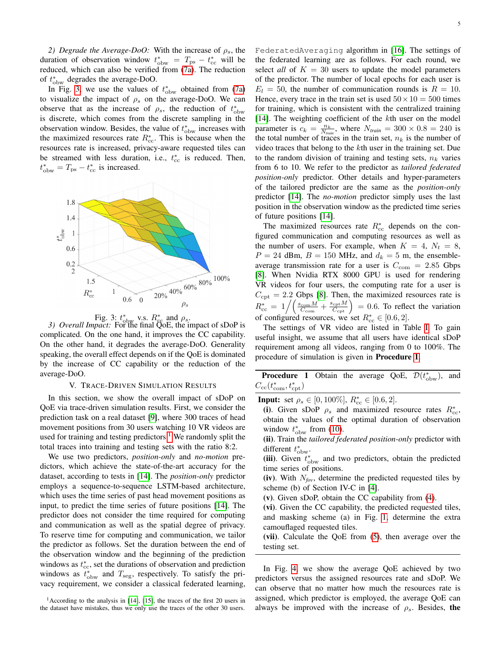*2) Degrade the Average-DoO:* With the increase of  $\rho_s$ , the duration of observation window  $t^*_{\text{obw}} = T_{\text{ps}} - t^*_{\text{cc}}$  will be reduced, which can also be verified from [\(7a\)](#page-3-3). The reduction of  $t_{\text{obw}}^*$  degrades the average-DoO.

In Fig. [3,](#page-4-0) we use the values of  $t^*_{\text{obw}}$  obtained from [\(7a\)](#page-3-3) to visualize the impact of  $\rho_s$  on the average-DoO. We can observe that as the increase of  $\rho_s$ , the reduction of  $t_{\text{obw}}^*$ is discrete, which comes from the discrete sampling in the observation window. Besides, the value of  $t^*_{\text{obw}}$  increases with the maximized resources rate  $R_{\text{cc}}^*$ . This is because when the resources rate is increased, privacy-aware requested tiles can be streamed with less duration, i.e.,  $t_{\rm cc}^*$  is reduced. Then,  $t_{\text{obw}}^* = T_{\text{ps}} - t_{\text{cc}}^*$  is increased.

<span id="page-4-0"></span>

Fig. 3:  $t^*_{\text{obw}}$  v.s.  $R^*_{\text{cc}}$  and  $\rho_s$ .<br>3) Overall Impact: For the final QoE, the impact of sDoP is complicated. On the one hand, it improves the CC capability. On the other hand, it degrades the average-DoO. Generality speaking, the overall effect depends on if the QoE is dominated by the increase of CC capability or the reduction of the average-DoO.

#### V. TRACE-DRIVEN SIMULATION RESULTS

In this section, we show the overall impact of sDoP on QoE via trace-driven simulation results. First, we consider the prediction task on a real dataset [\[9\]](#page-6-2), where 300 traces of head movement positions from 30 users watching 10 VR videos are used for training and testing predictors.<sup>[1](#page-4-1)</sup> We randomly split the total traces into training and testing sets with the ratio 8:2.

We use two predictors, *position-only* and *no-motion* predictors, which achieve the state-of-the-art accuracy for the dataset, according to tests in [\[14\]](#page-6-4). The *position-only* predictor employs a sequence-to-sequence LSTM-based architecture, which uses the time series of past head movement positions as input, to predict the time series of future positions [\[14\]](#page-6-4). The predictor does not consider the time required for computing and communication as well as the spatial degree of privacy. To reserve time for computing and communication, we tailor the predictor as follows. Set the duration between the end of the observation window and the beginning of the prediction windows as  $t_{\text{cc}}^*$ , set the durations of observation and prediction windows as  $t^*_{\text{obw}}$  and  $T_{\text{seg}}$ , respectively. To satisfy the privacy requirement, we consider a classical federated learning, FederatedAveraging algorithm in [\[16\]](#page-6-6). The settings of the federated learning are as follows. For each round, we select *all* of  $K = 30$  users to update the model parameters of the predictor. The number of local epochs for each user is  $E_l = 50$ , the number of communication rounds is  $R = 10$ . Hence, every trace in the train set is used  $50 \times 10 = 500$  times for training, which is consistent with the centralized training [\[14\]](#page-6-4). The weighting coefficient of the kth user on the model parameter is  $c_k = \frac{n_k}{N_{train}}$ , where  $N_{train} = 300 \times 0.8 = 240$  is the total number of traces in the train set,  $n_k$  is the number of video traces that belong to the kth user in the training set. Due to the random division of training and testing sets,  $n_k$  varies from 6 to 10. We refer to the predictor as *tailored federated position-only* predictor. Other details and hyper-parameters of the tailored predictor are the same as the *position-only* predictor [\[14\]](#page-6-4). The *no-motion* predictor simply uses the last position in the observation window as the predicted time series of future positions [\[14\]](#page-6-4).

The maximized resources rate  $R_{\rm cc}^*$  depends on the configured communication and computing resources as well as the number of users. For example, when  $K = 4$ ,  $N_t = 8$ ,  $P = 24$  dBm,  $B = 150$  MHz, and  $d_k = 5$  m, the ensembleaverage transmission rate for a user is  $C_{\text{com}} = 2.85$  Gbps [\[8\]](#page-6-1). When Nvidia RTX 8000 GPU is used for rendering VR videos for four users, the computing rate for a user is  $C_{\text{cpt}} = 2.2$  Gbps [\[8\]](#page-6-1). Then, the maximized resources rate is  $R_{\text{cc}}^* = 1 / \left( \frac{s_{\text{com}}M}{C_{\text{com}}} + \frac{s_{\text{cpt}}M}{C_{\text{cpt}}} \right) = 0.6$ . To reflect the variation of configured resources, we set  $R_{\text{cc}}^* \in [0.6, 2]$ .

The settings of VR video are listed in Table [I.](#page-5-6) To gain useful insight, we assume that all users have identical sDoP requirement among all videos, ranging from 0 to 100%. The procedure of simulation is given in Procedure [1](#page-4-2).

<span id="page-4-2"></span>**Procedure 1** Obtain the average QoE,  $\mathcal{D}(t_{\text{obw}}^*)$ , and  $C_{\rm cc}(t_{\rm com}^*, t_{\rm cpt}^*)$ 

**Input:** set  $\rho_s \in [0, 100\%]$ ,  $R_{cc}^* \in [0.6, 2]$ .

(i). Given sDoP  $\rho_s$  and maximized resource rates  $R_{\rm cc}^*$ , obtain the values of the optimal duration of observation window  $t^*_{\text{obw}}$  from [\(10\)](#page-3-5).

(ii). Train the *tailored federated position-only* predictor with different  $t^*_{\text{obw}}$ .

(iii). Given  $t^*_{\text{obw}}$  and two predictors, obtain the predicted time series of positions.

(iv). With  $N_{fov}$ , determine the predicted requested tiles by scheme (b) of Section IV-C in [\[4\]](#page-5-3).

(v). Given sDoP, obtain the CC capability from [\(4\)](#page-3-6).

(vi). Given the CC capability, the predicted requested tiles, and masking scheme (a) in Fig. [1,](#page-1-0) determine the extra camouflaged requested tiles.

(vii). Calculate the QoE from [\(5\)](#page-3-7), then average over the testing set.

In Fig. [4,](#page-5-7) we show the average QoE achieved by two predictors versus the assigned resources rate and sDoP. We can observe that no matter how much the resources rate is assigned, which predictor is employed, the average QoE can always be improved with the increase of  $\rho_s$ . Besides, the

<span id="page-4-1"></span><sup>&</sup>lt;sup>1</sup> According to the analysis in  $[14]$ ,  $[15]$ , the traces of the first 20 users in the dataset have mistakes, thus we only use the traces of the other 30 users.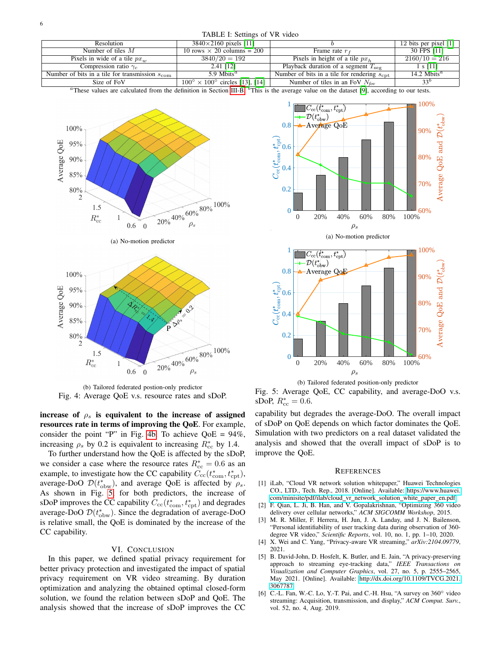#### TABLE I: Settings of VR video

<span id="page-5-6"></span>

| Resolution                                                 | $3840 \times 2160$ pixels [11]                      |                                                         | 12 bits per pixel $[1]$ |
|------------------------------------------------------------|-----------------------------------------------------|---------------------------------------------------------|-------------------------|
| Number of tiles $M$                                        | 10 rows $\times$ 20 columns = 200                   | Frame rate $r_f$                                        | 30 FPS [11]             |
| Pixels in wide of a tile $px_{uv}$                         | $3840/20 = 192$                                     | Pixels in height of a tile $pxb$                        | $2160/10 = 216$         |
| Compression ratio $\gamma_c$                               | 2.41 [12]                                           | Playback duration of a segment $T_{\rm{sep}}$           | 1 s [11]                |
| Number of bits in a tile for transmission $s_{\text{com}}$ | 5.9 Mbits <sup><math>a</math></sup>                 | Number of bits in a tile for rendering $s_{\text{cnt}}$ | 14.2 Mbits <sup>a</sup> |
| Size of FoV                                                | $100^{\circ} \times 100^{\circ}$ circles [13], [14] | Number of tiles in an FoV $N_{fov}$                     | 33 <sup>b</sup>         |

<sup>a</sup>These values are calculated from the definition in Section [III-B.](#page-2-0)  $\rm^b$ This is the average value on the dataset [\[9\]](#page-6-2), according to our tests.

<span id="page-5-7"></span>

(b) Tailored federated postion-only predictor Fig. 4: Average QoE v.s. resource rates and sDoP.

<span id="page-5-8"></span> $R_{\rm cc}^*$ 

 $\mathbf{1}$ 0.6  $\overline{0}$ 

increase of  $\rho_s$  is equivalent to the increase of assigned resources rate in terms of improving the QoE. For example, consider the point "P" in Fig. [4b.](#page-5-8) To achieve  $QoE = 94\%$ , increasing  $\rho_s$  by 0.2 is equivalent to increasing  $R_{cc}^*$  by 1.4.

To further understand how the QoE is affected by the sDoP, we consider a case where the resource rates  $R_{cc}^* = 0.6$  as an example, to investigate how the CC capability  $C_{\rm cc}(t_{\rm com}^*, t_{\rm cpt}^*),$ average-DoO  $\mathcal{D}(t_{\text{obw}}^{*})$ , and average QoE is affected by  $\rho_{s}$ . As shown in Fig. [5,](#page-5-9) for both predictors, the increase of sDoP improves the CC capability  $C_{\rm cc}(t_{\rm com}^*, t_{\rm cpt}^*)$  and degrades average-DoO  $\mathcal{D}(t_{\rm obw}^*)$ . Since the degradation of average-DoO is relative small, the QoE is dominated by the increase of the CC capability.

# VI. CONCLUSION

In this paper, we defined spatial privacy requirement for better privacy protection and investigated the impact of spatial privacy requirement on VR video streaming. By duration optimization and analyzing the obtained optimal closed-form solution, we found the relation between sDoP and QoE. The analysis showed that the increase of sDoP improves the CC

<span id="page-5-9"></span>



(b) Tailored federated position-only predictor

Fig. 5: Average QoE, CC capability, and average-DoO v.s. sDoP,  $R_{\rm cc}^* = 0.6$ .

capability but degrades the average-DoO. The overall impact of sDoP on QoE depends on which factor dominates the QoE. Simulation with two predictors on a real dataset validated the analysis and showed that the overall impact of sDoP is to improve the QoE.

#### **REFERENCES**

- <span id="page-5-0"></span>[1] iLab, "Cloud VR network solution whitepaper," Huawei Technologies CO., LTD., Tech. Rep., 2018. [Online]. Available: [https://www.huawei.](https://www.huawei.com/minisite/pdf/ilab/cloud_vr_network_solution_white_paper_en.pdf) [com/minisite/pdf/ilab/cloud](https://www.huawei.com/minisite/pdf/ilab/cloud_vr_network_solution_white_paper_en.pdf)\_vr\_network\_solution\_white\_paper\_en.pdf
- <span id="page-5-1"></span>[2] F. Qian, L. Ji, B. Han, and V. Gopalakrishnan, "Optimizing 360 video delivery over cellular networks," *ACM SIGCOMM Workshop*, 2015.
- <span id="page-5-2"></span>[3] M. R. Miller, F. Herrera, H. Jun, J. A. Landay, and J. N. Bailenson, "Personal identifiability of user tracking data during observation of 360 degree VR video," *Scientific Reports*, vol. 10, no. 1, pp. 1–10, 2020.
- <span id="page-5-3"></span>[4] X. Wei and C. Yang, "Privacy-aware VR streaming," *arXiv:2104.09779*, 2021.
- <span id="page-5-4"></span>[5] B. David-John, D. Hosfelt, K. Butler, and E. Jain, "A privacy-preserving approach to streaming eye-tracking data," *IEEE Transactions on Visualization and Computer Graphics*, vol. 27, no. 5, p. 2555–2565, May 2021. [Online]. Available: [http://dx.doi.org/10.1109/TVCG.2021.](http://dx.doi.org/10.1109/TVCG.2021.3067787) [3067787](http://dx.doi.org/10.1109/TVCG.2021.3067787)
- <span id="page-5-5"></span>[6] C.-L. Fan, W.-C. Lo, Y.-T. Pai, and C.-H. Hsu, "A survey on 360° video streaming: Acquisition, transmission, and display," *ACM Comput. Surv.*, vol. 52, no. 4, Aug. 2019.